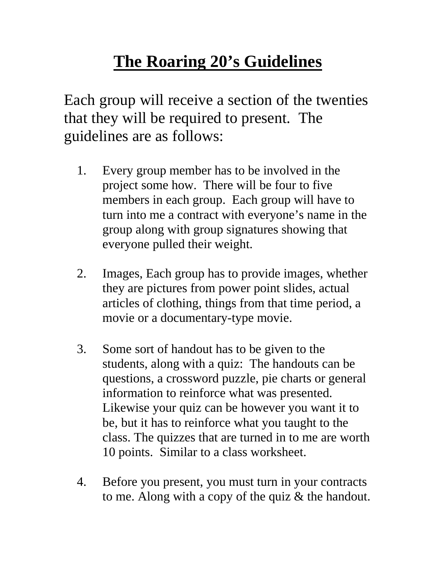## **The Roaring 20's Guidelines**

Each group will receive a section of the twenties that they will be required to present. The guidelines are as follows:

- 1. Every group member has to be involved in the project some how. There will be four to five members in each group. Each group will have to turn into me a contract with everyone's name in the group along with group signatures showing that everyone pulled their weight.
- 2. Images, Each group has to provide images, whether they are pictures from power point slides, actual articles of clothing, things from that time period, a movie or a documentary-type movie.
- 3. Some sort of handout has to be given to the students, along with a quiz: The handouts can be questions, a crossword puzzle, pie charts or general information to reinforce what was presented. Likewise your quiz can be however you want it to be, but it has to reinforce what you taught to the class. The quizzes that are turned in to me are worth 10 points. Similar to a class worksheet.
- 4. Before you present, you must turn in your contracts to me. Along with a copy of the quiz & the handout.